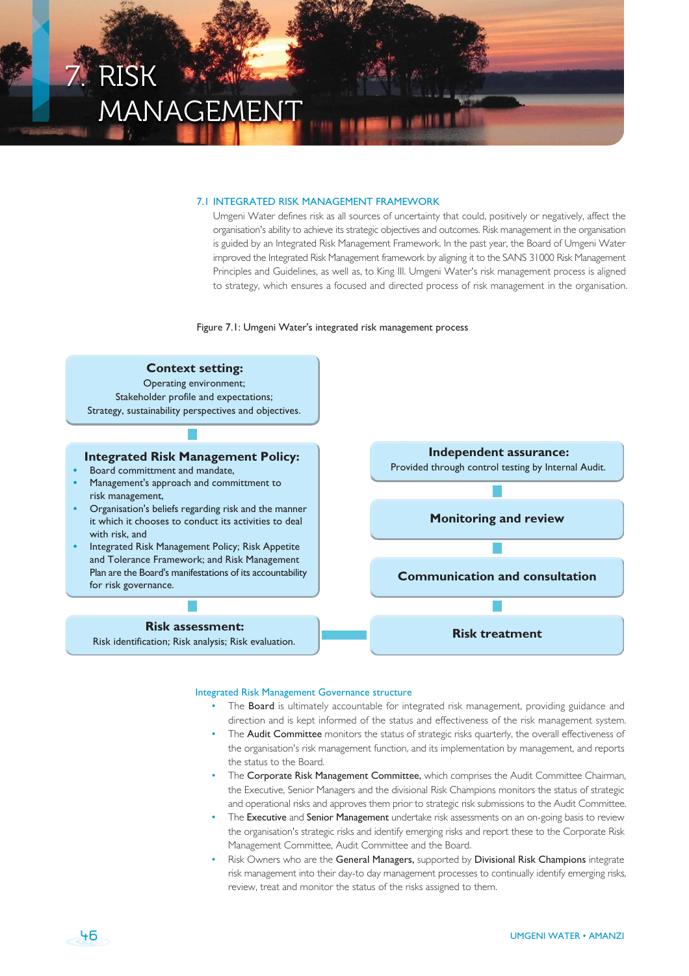

#### 7.1 INTEGRATED RISK MANAGEMENT FRAMEWORK

Umgeni Water defines risk as all sources of uncertainty that could, positively or negatively, affect the organisation's ability to achieve its strategic objectives and outcomes. Risk management in the organisation is guided by an Integrated Risk Management Framework. In the past year, the Board of Umgeni Water improved the Integrated Risk Management framework by aligning it to the SANS 31000 Risk Management Principles and Guidelines, as well as, to King III. Umgeni Water's risk management process is aligned to strategy, which ensures a focused and directed process of risk management in the organisation.

Figure 7.1: Umgeni Water's integrated risk management process



### Integrated Risk Management Governance structure

- The Board is ultimately accountable for integrated risk management, providing guidance and direction and is kept informed of the status and effectiveness of the risk management system.
- The Audit Committee monitors the status of strategic risks quarterly, the overall effectiveness of the organisation's risk management function, and its implementation by management, and reports the status to the Board.
- The Corporate Risk Management Committee, which comprises the Audit Committee Chairman, the Executive, Senior Managers and the divisional Risk Champions monitors the status of strategic and operational risks and approves them prior to strategic risk submissions to the Audit Committee.
- The Executive and Senior Management undertake risk assessments on an on-going basis to review the organisation's strategic risks and identify emerging risks and report these to the Corporate Risk Management Committee, Audit Committee and the Board.
- Risk Owners who are the General Managers, supported by Divisional Risk Champions integrate risk management into their day-to day management processes to continually identify emerging risks, review, treat and monitor the status of the risks assigned to them.

46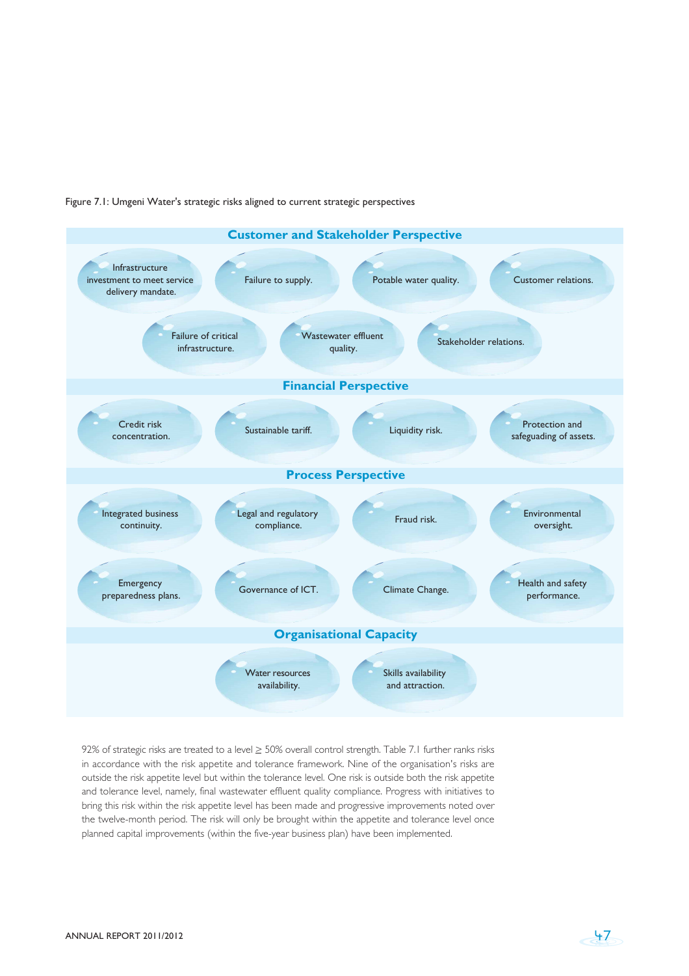



92% of strategic risks are treated to a level ≥ 50% overall control strength. Table 7.1 further ranks risks in accordance with the risk appetite and tolerance framework. Nine of the organisation's risks are outside the risk appetite level but within the tolerance level. One risk is outside both the risk appetite and tolerance level, namely, final wastewater effluent quality compliance. Progress with initiatives to bring this risk within the risk appetite level has been made and progressive improvements noted over the twelve-month period. The risk will only be brought within the appetite and tolerance level once planned capital improvements (within the five-year business plan) have been implemented.

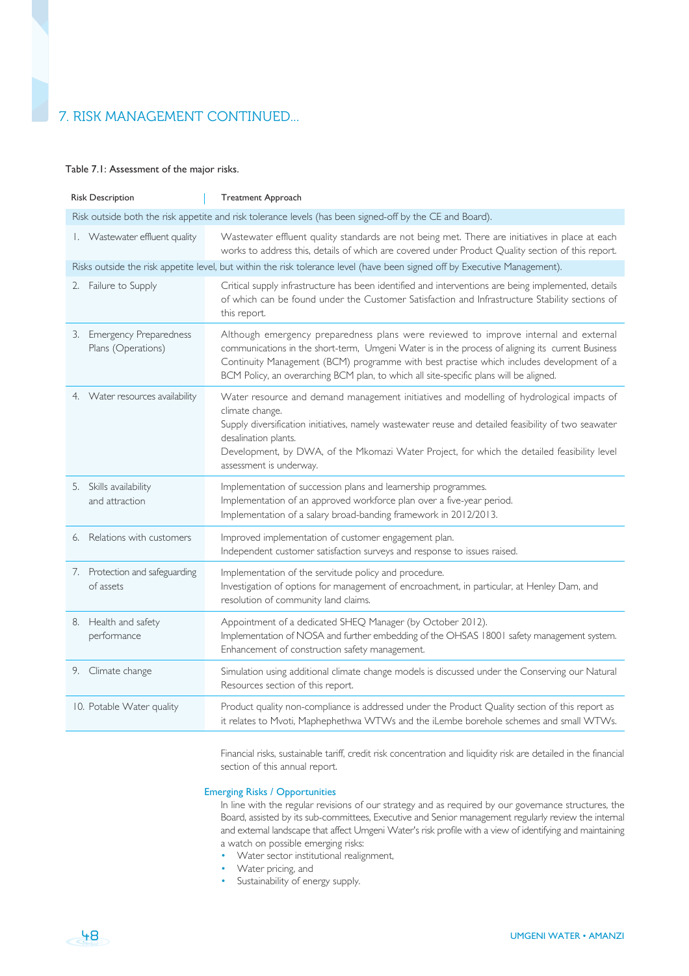# 7. RISK MANAGEMENT CONTINUED...

## Table 7.1: Assessment of the major risks.

| <b>Risk Description</b>                                                                                                    | <b>Treatment Approach</b>                                                                                                                                                                                                                                                                                                                                                       |
|----------------------------------------------------------------------------------------------------------------------------|---------------------------------------------------------------------------------------------------------------------------------------------------------------------------------------------------------------------------------------------------------------------------------------------------------------------------------------------------------------------------------|
| Risk outside both the risk appetite and risk tolerance levels (has been signed-off by the CE and Board).                   |                                                                                                                                                                                                                                                                                                                                                                                 |
| I. Wastewater effluent quality                                                                                             | Wastewater effluent quality standards are not being met. There are initiatives in place at each<br>works to address this, details of which are covered under Product Quality section of this report.                                                                                                                                                                            |
| Risks outside the risk appetite level, but within the risk tolerance level (have been signed off by Executive Management). |                                                                                                                                                                                                                                                                                                                                                                                 |
| 2. Failure to Supply                                                                                                       | Critical supply infrastructure has been identified and interventions are being implemented, details<br>of which can be found under the Customer Satisfaction and Infrastructure Stability sections of<br>this report.                                                                                                                                                           |
| 3. Emergency Preparedness<br>Plans (Operations)                                                                            | Although emergency preparedness plans were reviewed to improve internal and external<br>communications in the short-term, Umgeni Water is in the process of aligning its current Business<br>Continuity Management (BCM) programme with best practise which includes development of a<br>BCM Policy, an overarching BCM plan, to which all site-specific plans will be aligned. |
| 4. Water resources availability                                                                                            | Water resource and demand management initiatives and modelling of hydrological impacts of<br>climate change.<br>Supply diversification initiatives, namely wastewater reuse and detailed feasibility of two seawater<br>desalination plants.<br>Development, by DWA, of the Mkomazi Water Project, for which the detailed feasibility level<br>assessment is underway.          |
| 5. Skills availability<br>and attraction                                                                                   | Implementation of succession plans and learnership programmes.<br>Implementation of an approved workforce plan over a five-year period.<br>Implementation of a salary broad-banding framework in 2012/2013.                                                                                                                                                                     |
| Relations with customers<br>6.                                                                                             | Improved implementation of customer engagement plan.<br>Independent customer satisfaction surveys and response to issues raised.                                                                                                                                                                                                                                                |
| 7. Protection and safeguarding<br>of assets                                                                                | Implementation of the servitude policy and procedure.<br>Investigation of options for management of encroachment, in particular, at Henley Dam, and<br>resolution of community land claims.                                                                                                                                                                                     |
| 8. Health and safety<br>performance                                                                                        | Appointment of a dedicated SHEQ Manager (by October 2012).<br>Implementation of NOSA and further embedding of the OHSAS 18001 safety management system.<br>Enhancement of construction safety management.                                                                                                                                                                       |
| 9. Climate change                                                                                                          | Simulation using additional climate change models is discussed under the Conserving our Natural<br>Resources section of this report.                                                                                                                                                                                                                                            |
| 10. Potable Water quality                                                                                                  | Product quality non-compliance is addressed under the Product Quality section of this report as<br>it relates to Mvoti, Maphephethwa WTWs and the iLembe borehole schemes and small WTWs.                                                                                                                                                                                       |

Financial risks, sustainable tariff, credit risk concentration and liquidity risk are detailed in the financial section of this annual report.

# Emerging Risks / Opportunities

In line with the regular revisions of our strategy and as required by our governance structures, the Board, assisted by its sub-committees, Executive and Senior management regularly review the internal and external landscape that affect Umgeni Water's risk profile with a view of identifying and maintaining a watch on possible emerging risks:

- Water sector institutional realignment,
- Water pricing, and
- Sustainability of energy supply.